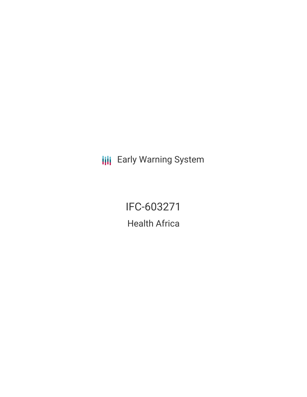**III** Early Warning System

IFC-603271 Health Africa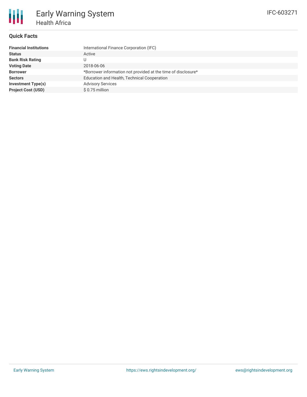# **Quick Facts**

| <b>Financial Institutions</b> | International Finance Corporation (IFC)                       |
|-------------------------------|---------------------------------------------------------------|
| <b>Status</b>                 | Active                                                        |
| <b>Bank Risk Rating</b>       |                                                               |
| <b>Voting Date</b>            | 2018-06-06                                                    |
| <b>Borrower</b>               | *Borrower information not provided at the time of disclosure* |
| <b>Sectors</b>                | Education and Health, Technical Cooperation                   |
| <b>Investment Type(s)</b>     | <b>Advisory Services</b>                                      |
| <b>Project Cost (USD)</b>     | \$0.75 million                                                |
|                               |                                                               |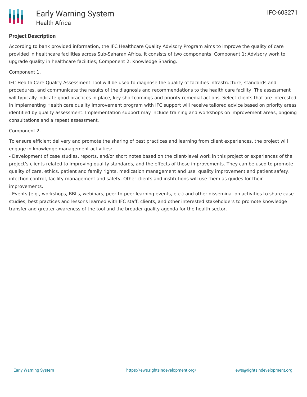

### **Project Description**

According to bank provided information, the IFC Healthcare Quality Advisory Program aims to improve the quality of care provided in healthcare facilities across Sub-Saharan Africa. It consists of two components: Component 1: Advisory work to upgrade quality in healthcare facilities; Component 2: Knowledge Sharing.

Component 1.

IFC Health Care Quality Assessment Tool will be used to diagnose the quality of facilities infrastructure, standards and procedures, and communicate the results of the diagnosis and recommendations to the health care facility. The assessment will typically indicate good practices in place, key shortcomings and priority remedial actions. Select clients that are interested in implementing Health care quality improvement program with IFC support will receive tailored advice based on priority areas identified by quality assessment. Implementation support may include training and workshops on improvement areas, ongoing consultations and a repeat assessment.

#### Component 2.

To ensure efficient delivery and promote the sharing of best practices and learning from client experiences, the project will engage in knowledge management activities:

- Development of case studies, reports, and/or short notes based on the client-level work in this project or experiences of the project's clients related to improving quality standards, and the effects of those improvements. They can be used to promote quality of care, ethics, patient and family rights, medication management and use, quality improvement and patient safety, infection control, facility management and safety. Other clients and institutions will use them as guides for their improvements.

- Events (e.g., workshops, BBLs, webinars, peer-to-peer learning events, etc.) and other dissemination activities to share case studies, best practices and lessons learned with IFC staff, clients, and other interested stakeholders to promote knowledge transfer and greater awareness of the tool and the broader quality agenda for the health sector.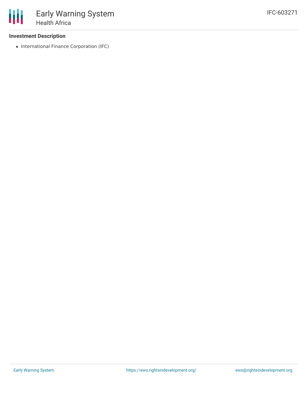#### **Investment Description**

• International Finance Corporation (IFC)